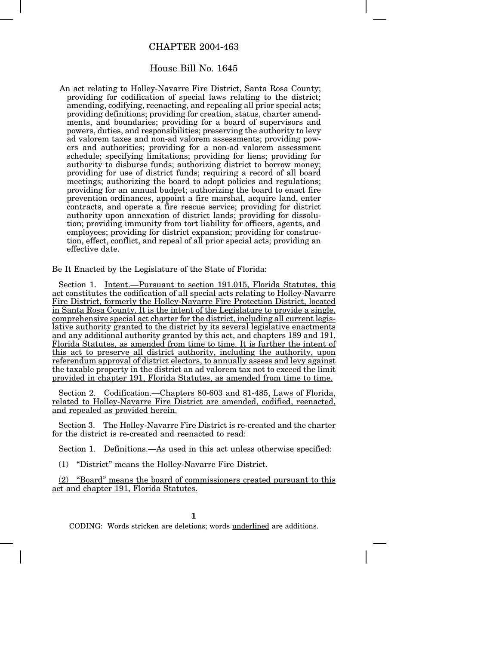## CHAPTER 2004-463

## House Bill No. 1645

An act relating to Holley-Navarre Fire District, Santa Rosa County; providing for codification of special laws relating to the district; amending, codifying, reenacting, and repealing all prior special acts; providing definitions; providing for creation, status, charter amendments, and boundaries; providing for a board of supervisors and powers, duties, and responsibilities; preserving the authority to levy ad valorem taxes and non-ad valorem assessments; providing powers and authorities; providing for a non-ad valorem assessment schedule; specifying limitations; providing for liens; providing for authority to disburse funds; authorizing district to borrow money; providing for use of district funds; requiring a record of all board meetings; authorizing the board to adopt policies and regulations; providing for an annual budget; authorizing the board to enact fire prevention ordinances, appoint a fire marshal, acquire land, enter contracts, and operate a fire rescue service; providing for district authority upon annexation of district lands; providing for dissolution; providing immunity from tort liability for officers, agents, and employees; providing for district expansion; providing for construction, effect, conflict, and repeal of all prior special acts; providing an effective date.

Be It Enacted by the Legislature of the State of Florida:

Section 1. Intent.—Pursuant to section 191.015, Florida Statutes, this act constitutes the codification of all special acts relating to Holley-Navarre Fire District, formerly the Holley-Navarre Fire Protection District, located in Santa Rosa County. It is the intent of the Legislature to provide a single, comprehensive special act charter for the district, including all current legislative authority granted to the district by its several legislative enactments and any additional authority granted by this act, and chapters 189 and 191, Florida Statutes, as amended from time to time. It is further the intent of this act to preserve all district authority, including the authority, upon referendum approval of district electors, to annually assess and levy against the taxable property in the district an ad valorem tax not to exceed the limit provided in chapter 191, Florida Statutes, as amended from time to time.

Section 2. Codification.—Chapters 80-603 and 81-485, Laws of Florida, related to Holley-Navarre Fire District are amended, codified, reenacted, and repealed as provided herein.

Section 3. The Holley-Navarre Fire District is re-created and the charter for the district is re-created and reenacted to read:

Section 1. Definitions.—As used in this act unless otherwise specified:

(1) "District" means the Holley-Navarre Fire District.

(2) "Board" means the board of commissioners created pursuant to this act and chapter 191, Florida Statutes.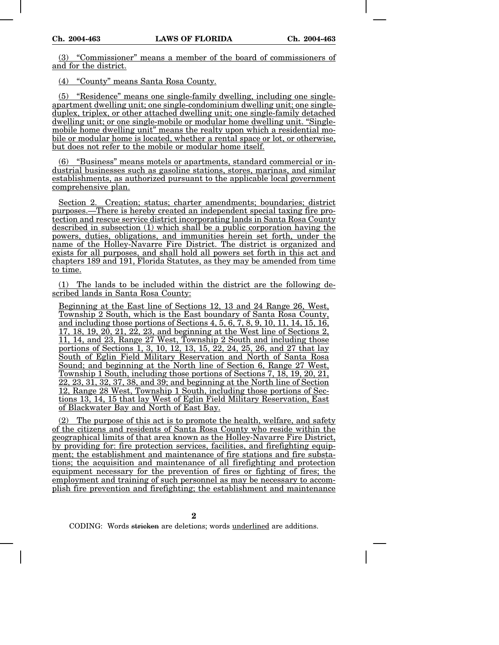(3) "Commissioner" means a member of the board of commissioners of and for the district.

(4) "County" means Santa Rosa County.

(5) "Residence" means one single-family dwelling, including one singleapartment dwelling unit; one single-condominium dwelling unit; one singleduplex, triplex, or other attached dwelling unit; one single-family detached dwelling unit; or one single-mobile or modular home dwelling unit. "Singlemobile home dwelling unit" means the realty upon which a residential mobile or modular home is located, whether a rental space or lot, or otherwise, but does not refer to the mobile or modular home itself.

(6) "Business" means motels or apartments, standard commercial or industrial businesses such as gasoline stations, stores, marinas, and similar establishments, as authorized pursuant to the applicable local government comprehensive plan.

Section 2. Creation; status; charter amendments; boundaries; district purposes.—There is hereby created an independent special taxing fire protection and rescue service district incorporating lands in Santa Rosa County described in subsection (1) which shall be a public corporation having the powers, duties, obligations, and immunities herein set forth, under the name of the Holley-Navarre Fire District. The district is organized and exists for all purposes, and shall hold all powers set forth in this act and chapters 189 and 191, Florida Statutes, as they may be amended from time to time.

(1) The lands to be included within the district are the following described lands in Santa Rosa County:

Beginning at the East line of Sections 12, 13 and 24 Range 26, West, Township 2 South, which is the East boundary of Santa Rosa County, and including those portions of Sections 4, 5, 6, 7, 8, 9, 10, 11, 14, 15, 16, 17, 18, 19, 20, 21, 22, 23, and beginning at the West line of Sections 2, 11, 14, and 23, Range 27 West, Township 2 South and including those portions of Sections 1, 3, 10, 12, 13, 15, 22, 24, 25, 26, and 27 that lay South of Eglin Field Military Reservation and North of Santa Rosa Sound; and beginning at the North line of Section 6, Range 27 West, Township 1 South, including those portions of Sections 7, 18, 19, 20, 21, 22, 23, 31, 32, 37, 38, and 39; and beginning at the North line of Section 12, Range 28 West, Township 1 South, including those portions of Sections 13, 14, 15 that lay West of Eglin Field Military Reservation, East of Blackwater Bay and North of East Bay.

The purpose of this act is to promote the health, welfare, and safety of the citizens and residents of Santa Rosa County who reside within the geographical limits of that area known as the Holley-Navarre Fire District, by providing for: fire protection services, facilities, and firefighting equipment; the establishment and maintenance of fire stations and fire substations; the acquisition and maintenance of all firefighting and protection equipment necessary for the prevention of fires or fighting of fires; the employment and training of such personnel as may be necessary to accomplish fire prevention and firefighting; the establishment and maintenance

**2**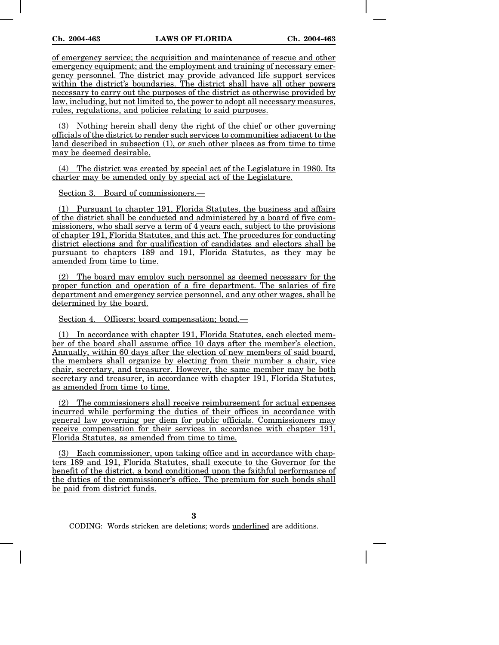of emergency service; the acquisition and maintenance of rescue and other emergency equipment; and the employment and training of necessary emergency personnel. The district may provide advanced life support services within the district's boundaries. The district shall have all other powers necessary to carry out the purposes of the district as otherwise provided by law, including, but not limited to, the power to adopt all necessary measures, rules, regulations, and policies relating to said purposes.

(3) Nothing herein shall deny the right of the chief or other governing officials of the district to render such services to communities adjacent to the land described in subsection (1), or such other places as from time to time may be deemed desirable.

(4) The district was created by special act of the Legislature in 1980. Its charter may be amended only by special act of the Legislature.

Section 3. Board of commissioners.—

(1) Pursuant to chapter 191, Florida Statutes, the business and affairs of the district shall be conducted and administered by a board of five commissioners, who shall serve a term of 4 years each, subject to the provisions of chapter 191, Florida Statutes, and this act. The procedures for conducting district elections and for qualification of candidates and electors shall be pursuant to chapters 189 and 191, Florida Statutes, as they may be amended from time to time.

(2) The board may employ such personnel as deemed necessary for the proper function and operation of a fire department. The salaries of fire department and emergency service personnel, and any other wages, shall be determined by the board.

Section 4. Officers; board compensation; bond.—

(1) In accordance with chapter 191, Florida Statutes, each elected member of the board shall assume office 10 days after the member's election. Annually, within 60 days after the election of new members of said board, the members shall organize by electing from their number a chair, vice chair, secretary, and treasurer. However, the same member may be both secretary and treasurer, in accordance with chapter 191, Florida Statutes, as amended from time to time.

(2) The commissioners shall receive reimbursement for actual expenses incurred while performing the duties of their offices in accordance with general law governing per diem for public officials. Commissioners may receive compensation for their services in accordance with chapter 191, Florida Statutes, as amended from time to time.

(3) Each commissioner, upon taking office and in accordance with chapters 189 and 191, Florida Statutes, shall execute to the Governor for the benefit of the district, a bond conditioned upon the faithful performance of the duties of the commissioner's office. The premium for such bonds shall be paid from district funds.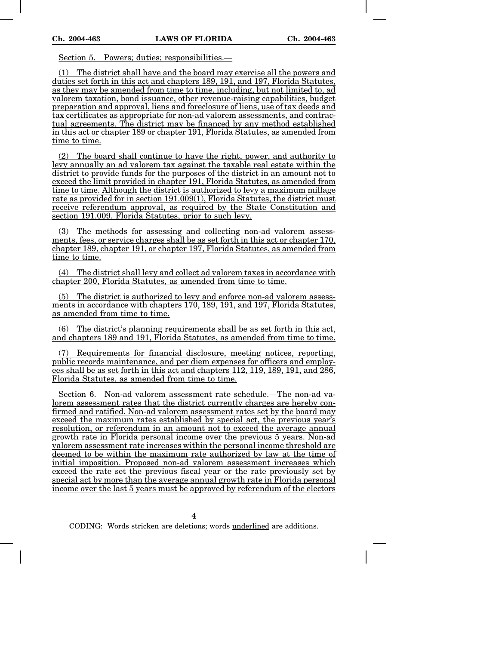Section 5. Powers; duties; responsibilities.—

(1) The district shall have and the board may exercise all the powers and duties set forth in this act and chapters 189, 191, and 197, Florida Statutes, as they may be amended from time to time, including, but not limited to, ad valorem taxation, bond issuance, other revenue-raising capabilities, budget preparation and approval, liens and foreclosure of liens, use of tax deeds and tax certificates as appropriate for non-ad valorem assessments, and contractual agreements. The district may be financed by any method established in this act or chapter 189 or chapter 191, Florida Statutes, as amended from time to time.

(2) The board shall continue to have the right, power, and authority to levy annually an ad valorem tax against the taxable real estate within the district to provide funds for the purposes of the district in an amount not to exceed the limit provided in chapter 191, Florida Statutes, as amended from time to time. Although the district is authorized to levy a maximum millage rate as provided for in section 191.009(1), Florida Statutes, the district must receive referendum approval, as required by the State Constitution and section 191.009, Florida Statutes, prior to such levy.

The methods for assessing and collecting non-ad valorem assessments, fees, or service charges shall be as set forth in this act or chapter 170, chapter 189, chapter 191, or chapter 197, Florida Statutes, as amended from time to time.

(4) The district shall levy and collect ad valorem taxes in accordance with chapter 200, Florida Statutes, as amended from time to time.

(5) The district is authorized to levy and enforce non-ad valorem assessments in accordance with chapters 170, 189, 191, and 197, Florida Statutes, as amended from time to time.

(6) The district's planning requirements shall be as set forth in this act, and chapters 189 and 191, Florida Statutes, as amended from time to time.

Requirements for financial disclosure, meeting notices, reporting, public records maintenance, and per diem expenses for officers and employees shall be as set forth in this act and chapters 112, 119, 189, 191, and 286, Florida Statutes, as amended from time to time.

Section 6. Non-ad valorem assessment rate schedule.—The non-ad valorem assessment rates that the district currently charges are hereby confirmed and ratified. Non-ad valorem assessment rates set by the board may exceed the maximum rates established by special act, the previous year's resolution, or referendum in an amount not to exceed the average annual growth rate in Florida personal income over the previous 5 years. Non-ad valorem assessment rate increases within the personal income threshold are deemed to be within the maximum rate authorized by law at the time of initial imposition. Proposed non-ad valorem assessment increases which exceed the rate set the previous fiscal year or the rate previously set by special act by more than the average annual growth rate in Florida personal income over the last 5 years must be approved by referendum of the electors

**4**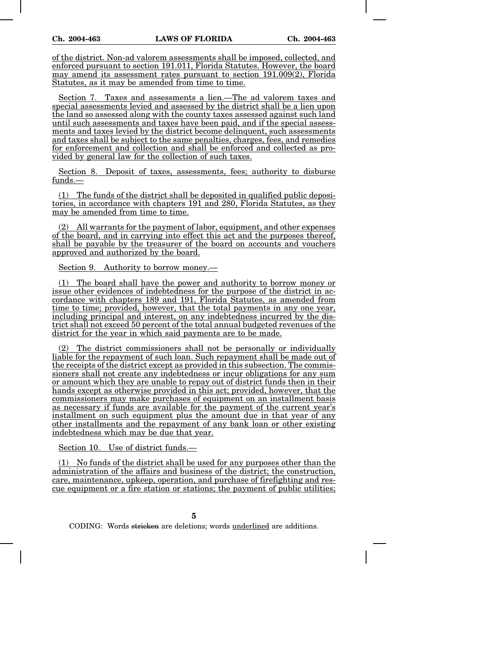of the district. Non-ad valorem assessments shall be imposed, collected, and enforced pursuant to section 191.011, Florida Statutes. However, the board may amend its assessment rates pursuant to section 191.009(2), Florida Statutes, as it may be amended from time to time.

Section 7. Taxes and assessments a lien.—The ad valorem taxes and special assessments levied and assessed by the district shall be a lien upon the land so assessed along with the county taxes assessed against such land until such assessments and taxes have been paid, and if the special assessments and taxes levied by the district become delinquent, such assessments and taxes shall be subject to the same penalties, charges, fees, and remedies for enforcement and collection and shall be enforced and collected as provided by general law for the collection of such taxes.

Section 8. Deposit of taxes, assessments, fees; authority to disburse funds.—

(1) The funds of the district shall be deposited in qualified public depositories, in accordance with chapters 191 and 280, Florida Statutes, as they may be amended from time to time.

(2) All warrants for the payment of labor, equipment, and other expenses of the board, and in carrying into effect this act and the purposes thereof, shall be payable by the treasurer of the board on accounts and vouchers approved and authorized by the board.

Section 9. Authority to borrow money.—

(1) The board shall have the power and authority to borrow money or issue other evidences of indebtedness for the purpose of the district in accordance with chapters 189 and 191, Florida Statutes, as amended from time to time; provided, however, that the total payments in any one year, including principal and interest, on any indebtedness incurred by the district shall not exceed 50 percent of the total annual budgeted revenues of the district for the year in which said payments are to be made.

(2) The district commissioners shall not be personally or individually liable for the repayment of such loan. Such repayment shall be made out of the receipts of the district except as provided in this subsection. The commissioners shall not create any indebtedness or incur obligations for any sum or amount which they are unable to repay out of district funds then in their hands except as otherwise provided in this act; provided, however, that the commissioners may make purchases of equipment on an installment basis as necessary if funds are available for the payment of the current year's installment on such equipment plus the amount due in that year of any other installments and the repayment of any bank loan or other existing indebtedness which may be due that year.

Section 10. Use of district funds.—

(1) No funds of the district shall be used for any purposes other than the administration of the affairs and business of the district; the construction, care, maintenance, upkeep, operation, and purchase of firefighting and rescue equipment or a fire station or stations; the payment of public utilities;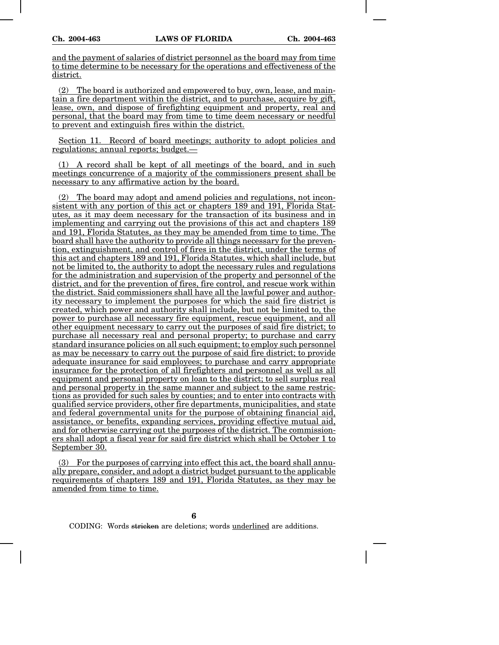and the payment of salaries of district personnel as the board may from time to time determine to be necessary for the operations and effectiveness of the district.

(2) The board is authorized and empowered to buy, own, lease, and maintain a fire department within the district, and to purchase, acquire by gift, lease, own, and dispose of firefighting equipment and property, real and personal, that the board may from time to time deem necessary or needful to prevent and extinguish fires within the district.

Section 11. Record of board meetings; authority to adopt policies and regulations; annual reports; budget.—

(1) A record shall be kept of all meetings of the board, and in such meetings concurrence of a majority of the commissioners present shall be necessary to any affirmative action by the board.

(2) The board may adopt and amend policies and regulations, not inconsistent with any portion of this act or chapters 189 and 191, Florida Statutes, as it may deem necessary for the transaction of its business and in implementing and carrying out the provisions of this act and chapters 189 and 191, Florida Statutes, as they may be amended from time to time. The board shall have the authority to provide all things necessary for the prevention, extinguishment, and control of fires in the district, under the terms of this act and chapters 189 and 191, Florida Statutes, which shall include, but not be limited to, the authority to adopt the necessary rules and regulations for the administration and supervision of the property and personnel of the district, and for the prevention of fires, fire control, and rescue work within the district. Said commissioners shall have all the lawful power and authority necessary to implement the purposes for which the said fire district is created, which power and authority shall include, but not be limited to, the power to purchase all necessary fire equipment, rescue equipment, and all other equipment necessary to carry out the purposes of said fire district; to purchase all necessary real and personal property; to purchase and carry standard insurance policies on all such equipment; to employ such personnel as may be necessary to carry out the purpose of said fire district; to provide adequate insurance for said employees; to purchase and carry appropriate insurance for the protection of all firefighters and personnel as well as all equipment and personal property on loan to the district; to sell surplus real and personal property in the same manner and subject to the same restrictions as provided for such sales by counties; and to enter into contracts with qualified service providers, other fire departments, municipalities, and state and federal governmental units for the purpose of obtaining financial aid, assistance, or benefits, expanding services, providing effective mutual aid, and for otherwise carrying out the purposes of the district. The commissioners shall adopt a fiscal year for said fire district which shall be October 1 to September 30.

(3) For the purposes of carrying into effect this act, the board shall annually prepare, consider, and adopt a district budget pursuant to the applicable requirements of chapters 189 and 191, Florida Statutes, as they may be amended from time to time.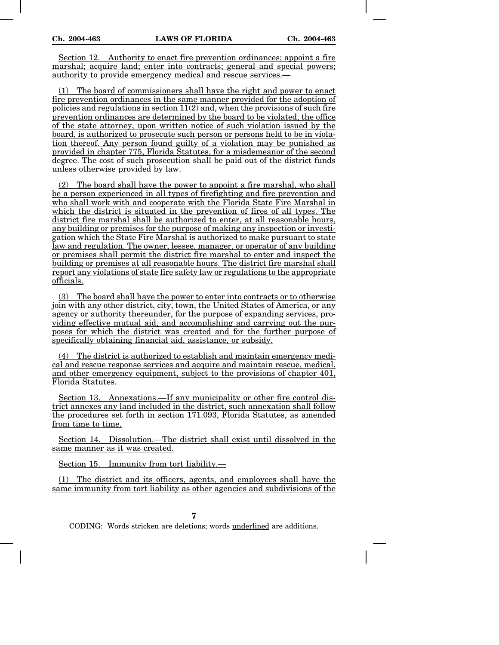Section 12. Authority to enact fire prevention ordinances; appoint a fire marshal: acquire land; enter into contracts; general and special powers; authority to provide emergency medical and rescue services.—

(1) The board of commissioners shall have the right and power to enact fire prevention ordinances in the same manner provided for the adoption of policies and regulations in section  $11(2)$  and, when the provisions of such fire prevention ordinances are determined by the board to be violated, the office of the state attorney, upon written notice of such violation issued by the board, is authorized to prosecute such person or persons held to be in violation thereof. Any person found guilty of a violation may be punished as provided in chapter 775, Florida Statutes, for a misdemeanor of the second degree. The cost of such prosecution shall be paid out of the district funds unless otherwise provided by law.

(2) The board shall have the power to appoint a fire marshal, who shall be a person experienced in all types of firefighting and fire prevention and who shall work with and cooperate with the Florida State Fire Marshal in which the district is situated in the prevention of fires of all types. The district fire marshal shall be authorized to enter, at all reasonable hours, any building or premises for the purpose of making any inspection or investigation which the State Fire Marshal is authorized to make pursuant to state law and regulation. The owner, lessee, manager, or operator of any building or premises shall permit the district fire marshal to enter and inspect the building or premises at all reasonable hours. The district fire marshal shall report any violations of state fire safety law or regulations to the appropriate officials.

(3) The board shall have the power to enter into contracts or to otherwise join with any other district, city, town, the United States of America, or any agency or authority thereunder, for the purpose of expanding services, providing effective mutual aid, and accomplishing and carrying out the purposes for which the district was created and for the further purpose of specifically obtaining financial aid, assistance, or subsidy.

(4) The district is authorized to establish and maintain emergency medical and rescue response services and acquire and maintain rescue, medical, and other emergency equipment, subject to the provisions of chapter 401, Florida Statutes.

Section 13. Annexations.—If any municipality or other fire control district annexes any land included in the district, such annexation shall follow the procedures set forth in section 171.093, Florida Statutes, as amended from time to time.

Section 14. Dissolution.—The district shall exist until dissolved in the same manner as it was created.

Section 15. Immunity from tort liability.—

(1) The district and its officers, agents, and employees shall have the same immunity from tort liability as other agencies and subdivisions of the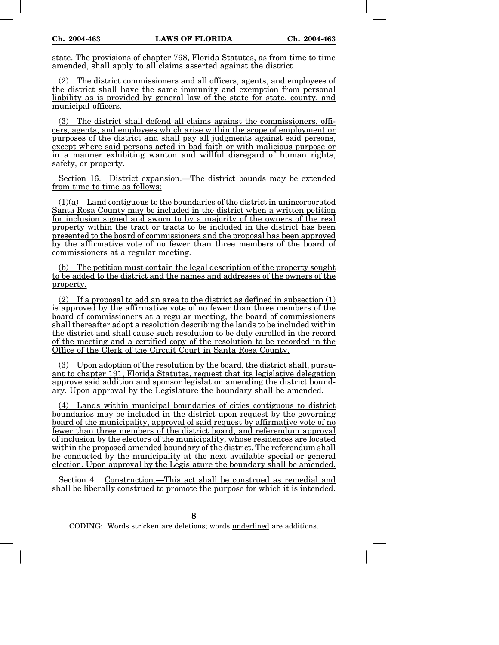state. The provisions of chapter 768, Florida Statutes, as from time to time amended, shall apply to all claims asserted against the district.

(2) The district commissioners and all officers, agents, and employees of the district shall have the same immunity and exemption from personal liability as is provided by general law of the state for state, county, and municipal officers.

(3) The district shall defend all claims against the commissioners, officers, agents, and employees which arise within the scope of employment or purposes of the district and shall pay all judgments against said persons, except where said persons acted in bad faith or with malicious purpose or in a manner exhibiting wanton and willful disregard of human rights, safety, or property.

Section 16. District expansion.—The district bounds may be extended from time to time as follows:

 $(1)(a)$  Land contiguous to the boundaries of the district in unincorporated Santa Rosa County may be included in the district when a written petition for inclusion signed and sworn to by a majority of the owners of the real property within the tract or tracts to be included in the district has been presented to the board of commissioners and the proposal has been approved by the affirmative vote of no fewer than three members of the board of commissioners at a regular meeting.

(b) The petition must contain the legal description of the property sought to be added to the district and the names and addresses of the owners of the property.

(2) If a proposal to add an area to the district as defined in subsection (1) is approved by the affirmative vote of no fewer than three members of the board of commissioners at a regular meeting, the board of commissioners shall thereafter adopt a resolution describing the lands to be included within the district and shall cause such resolution to be duly enrolled in the record of the meeting and a certified copy of the resolution to be recorded in the Office of the Clerk of the Circuit Court in Santa Rosa County.

(3) Upon adoption of the resolution by the board, the district shall, pursuant to chapter 191, Florida Statutes, request that its legislative delegation approve said addition and sponsor legislation amending the district boundary. Upon approval by the Legislature the boundary shall be amended.

(4) Lands within municipal boundaries of cities contiguous to district boundaries may be included in the district upon request by the governing board of the municipality, approval of said request by affirmative vote of no fewer than three members of the district board, and referendum approval of inclusion by the electors of the municipality, whose residences are located within the proposed amended boundary of the district. The referendum shall be conducted by the municipality at the next available special or general election. Upon approval by the Legislature the boundary shall be amended.

Section 4. Construction.—This act shall be construed as remedial and shall be liberally construed to promote the purpose for which it is intended.

**8**